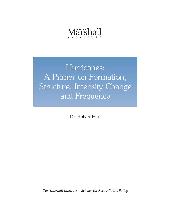# *Märshall*

Hurricanes: A Primer on Formation, Structure, Intensity Change and Frequency

Dr. Robert Hart

*The Marshall Institute — Science for Better Public Policy*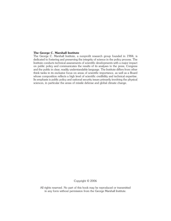#### **The George C. Marshall Institute**

The George C. Marshall Institute, a nonprofit research group founded in 1984, is dedicated to fostering and preserving the integrity of science in the policy process. The Institute conducts technical assessments of scientific developments with a major impact on public policy and communicates the results of its analyses to the press, Congress and the public in clear, readily understandable language. The Institute differs from other think tanks in its exclusive focus on areas of scientific importance, as well as a Board whose composition reflects a high level of scientific credibility and technical expertise. Its emphasis is public policy and national security issues primarily involving the physical sciences, in particular the areas of missile defense and global climate change.

Copyright © 2006

All rights reserved. No part of this book may be reproduced or transmitted in any form without permission from the George Marshall Institute.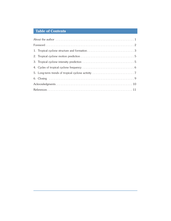# **Table of Contents**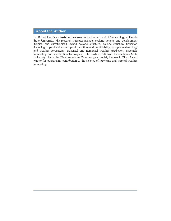# **About the Author**

Dr. Robert Hart is an Assistant Professor in the Department of Meteorology at Florida State University. His research interests include: cyclone genesis and development (tropical and extratropical), hybrid cyclone structure, cyclone structural transition (including tropical and extratropical transition) and predictability, synoptic meteorology and weather forecasting, statistical and numerical weather prediction, ensemble forecasting and visualization techniques. He holds a PhD from Pennsylvania State University. He is the 2006 American Meteorological Society Banner I. Miller Award winner for outstanding contribution to the science of hurricane and tropical weather forecasting.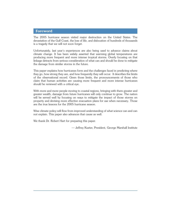## **Foreword**

The 2005 hurricane season visited major destruction on the United States. The devastation of the Gulf Coast, the loss of life, and dislocation of hundreds of thousands is a tragedy that we will not soon forget.

Unfortunately, last year's experiences are also being used to advance claims about climate change. It has been widely asserted that warming global temperatures are producing more frequent and more intense tropical storms. Overly focusing on that linkage detracts from serious consideration of what can and should be done to mitigate the damage from similar storms in the future.

This paper explains how hurricanes form and the challenges faced in predicting where they go, how strong they are, and how frequently they will occur. It describes the limits of the observational record. Given those limits, the pronouncements of those who claim that human activities are causing more frequent and more intense hurricanes should be reviewed with a critical eye.

With more and more people moving to coastal regions, bringing with them greater and greater wealth, damage from future hurricanes will only continue to grow. The nation will be served well by focusing on ways to mitigate the impact of those storms on property and devising more effective evacuation plans for use when necessary. Those are the true lessons for the 2005 hurricane season.

Wise climate policy will flow from improved understanding of what science can and can not explain. This paper also advances that cause as well.

We thank Dr. Robert Hart for preparing this paper.

— Jeffrey Kueter, President, George Marshall Institute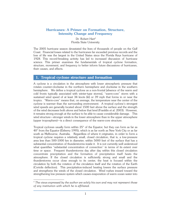# **Hurricanes: A Primer on Formation, Structure, Intensity Change and Frequency**

Dr. Robert Hart\* Florida State University

The 2005 hurricane season devastated the lives of thousands of people on the Gulf Coast. Financial losses related to the hurricanes far exceeded previous records and the loss of life was the largest in the United States since the Florida Keys hurricane of 1928. This record-breaking activity has led to increased discussion of hurricane science. This primer examines the fundamentals of tropical cyclone formation, structure, movement, and frequency to better inform future discussions of hurricanes, their causes, and effects.

#### **1. Tropical cyclone structure and formation**

A cyclone is a circulation in the atmosphere with lower atmospheric pressure that rotates counter-clockwise in the northern hemisphere and clockwise in the southern hemisphere. We define a tropical cyclone as a non-frontal [absence of the warm and cold fronts typically associated with winter-type storms], "warm-core" storm with a sustained wind speed of at least 34 knots (kt) or 39 mph that forms in or near the tropics. "Warm-core" means that, on average, the temperature near the center of the cyclone is warmer than the surrounding environment. A tropical cyclone's strongest wind speeds are generally located about 1500 feet above the surface and the strength of the wind decreases both above and below that level (Franklin et al. 2003). However, it remains strong enough at the surface to be able to cause considerable damage. This wind structure—stronger winds in the lower atmosphere than in the upper atmosphere (upper troposphere)—is a direct consequence of the warm-core structure.

Tropical cyclones usually form within 25° of the Equator, but they can form as far as 40° from the Equator (Elsberry 1995), which is as far north as New York City or as far south as Melbourne, Australia. Regardless of where it originates, in order to form a tropical cyclone requires a relatively small, closed circulation, that is, a low-pressure area less than 500-1000 km in diameter, within 5000 feet of the surface that has a substantial concentration of thunderstorms inside it. It is not currently well understood what quantifies "substantial concentration of convection" in terms of its extent over time or space. Frequent thunderstorms day after day within this closed circulation concentrate precipitation and the formation of precipitation itself heats the atmosphere. If the closed circulation is sufficiently strong and small and the thunderstorms occur close enough to its center, the heat is focused within the circulation by both the rotation of the circulation itself and the rotation of the Earth (Coriolis deflection). This precipitation-induced heating lowers the surface pressure and strengthens the winds of the closed circulation. Wind rushes inward toward the strengthening low pressure system which causes evaporation of warm ocean water into

<sup>\*</sup> *The views expressed by the author are solely his own and may not represent those of any institution with which he is affiliated.*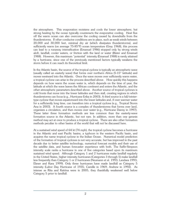the atmosphere. This evaporation moistens and cools the lower atmosphere, but strong heating by the ocean typically counteracts the evaporative cooling. Heat flux off the warm ocean can also overcome the cooling caused by downdrafts from the thunderstorms. If other conducive conditions are in place, such as weak winds between 20,000 and 30,000 feet, minimal dry air (which dissipates thunderstorms), and sufficiently warm (on average 75-85°F) ocean temperature (Gray 1968), this process can lead to a runaway intensification (Emanuel 1986) stopped only by strong winds aloft, landfall, cooler waters, or friction with the land or water (Bister and Emanuel 1988). However, this maximum "potential" intensity (Emanuel 1988) is rarely attained by a hurricane, since one of the previously mentioned factors typically weakens the storm before it can reach its theoretical limit.

In the Atlantic basin, the source of the tropical cyclone is typically an atmospheric wave (usually called an easterly wave) that forms over northern Africa (5-15° latitude) and moves westward into the Atlantic. Once the wave moves over sufficiently warm water, a tropical cyclone can arise in the process described above. How quickly this happens depends on how warm the ocean water is, which depends on the time of year, the latitude at which the wave leaves the African continent and enters the Atlantic, and the other atmospheric parameters described above. Another source of tropical cyclones is cold fronts that move into the lower latitudes and then stall, creating regions in which thunderstorms can focus (e.g., Hurricane Erika in 2003). A third source is a fall/wintertype cyclone that moves equatorward into the lower latitudes and, if over warmer water for a sufficiently long time, can transition into a tropical cyclone (e.g., Tropical Storm Ana in 2003). A fourth source is a complex of thunderstorms that forms over land, organizes a circulation, and then moves over water (e.g., Hurricane Danny in 1997). These latter three formation methods are less common than the easterly-wave formation source in the Atlantic, but not rare. In addition, more than one genesis method may act at once to produce a tropical cyclone. There are also other formation methods peculiar to other basins of the world that will not be discussed here.

At a sustained wind speed of 64 kt (74 mph), the tropical cyclone becomes a hurricane in the Atlantic and east Pacific basins, a typhoon in the western Pacific basin, and acquires the name tropical cyclone in the Indian Ocean. Numerical model prediction of the formation of tropical cyclones is not very accurate, but has improved in the past decade due to better satellite technology, numerical forecast models and their use of the satellite data, and human forecaster experience with both. The Saffir-Simpson intensity scale ranks a hurricane in one of five categories based upon its maximum sustained wind speed. Although Category 1 and 2 hurricanes make landfall regularly in the United States, higher intensity hurricanes (Categories 3 through 5) make landfall less frequently than Category 1 or 2 hurricanes (Neumann et al. 1993; Landsea 1993; Elsner and Kara 1999). Only three hurricanes have made landfall as Category 5 intensity (Labor Day Hurricane of 1935; Camille in 1969; Andrew in 1992). As intense as Rita and Katrina were in 2005, they thankfully weakened well below Category 5 prior to landfall.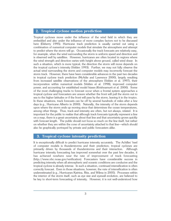## **2. Tropical cyclone motion prediction**

Tropical cyclones move under the influence of the wind field in which they are embedded and also under the influence of more complex factors not to be discussed here (Elsberry 1995). Hurricane track prediction is usually carried out using a combination of numerical computer models that simulate the atmosphere and attempt to predict where the storm will go. Occasionally the track forecasts are relatively easy, for example, when the wind surrounding the storm is uniform speed and direction and is observed well by satellites. However, hurricanes are often located in regions where the wind strength and direction varies with height above ground, called wind shear. In such a situation, which is more typical, the direction the storm will move depends on the tropical cyclone's intensity (Velden 1993). Further, we may not fully observe the actual wind surrounding the storm and computer models may incorrectly forecast the storm track. However, there have been considerable advances in the past two decades in tropical cyclone track prediction (McAdie and Lawrence 2000), largely resulting from increased satellite observations of the atmosphere (Velden et al. 1997), their incorporation within numerical models (Velden et al. 1998), improved computer power, and accounting for established model biases (Krishnamurti et al. 2000). Some of the most challenging tracks to forecast occur when a frontal system approaches a tropical cyclone and forecasters are unsure whether the front will pull the storm out to sea to the higher latitudes or if the front will pass by the storm, leaving it in the tropics. In these situations, track forecasts can be off by several hundreds of miles after a few days (e.g., Hurricane Alberto in 2000). Naturally, the intensity of the storm depends upon where the storm ends up moving since that determines the ocean temperatures, among other things. Thus, track and intensity are often, but not always, related. It is important for the public to realize that although track forecasts typically represent a line on a map, there is a great uncertainty about that line and that uncertainty grows quickly with forecast length. The public should not focus so much on the line itself, but rather on whether they are within the cone of uncertainty attached to that line—which should also be graphically portrayed by private and public forecasters alike.

# **3. Tropical cyclone intensity prediction**

It is exceptionally difficult to predict hurricane intensity accurately. The Achilles' heel of computer models is thunderstorms and their prediction; tropical cyclones are primarily driven by thousands of thunderstorms and their interaction. Although hurricane intensity forecasting has improved somewhat over the past few decades, it has achieved nowhere near the rate of improvement of track forecasting (http://www.nhc.noaa.gov/verification). Forecasters have considerable success in predicting intensity when all atmospheric and oceanic conditions are conducive and the tropical cyclone is already intense. In such a situation, continued intensification is often correctly forecast. Even in those situations, however, the *rate* of intensification is often underestimated (e.g., Hurricanes Katrina, Rita, and Wilma in 2005). Processes within the interior of the storm itself, such as eye size and eyewall evolution, are believed to be key to short-term forecasting of intensity. However, it is not well-understood how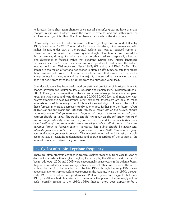to forecast these short-term changes since not all intensifying storms have dramatic changes in eye size. Further, unless the storm is close to land and within radar or airplane coverage, it is often difficult to observe the details of the storm core.

Occasionally there are tornado outbreaks within tropical cyclones at landfall (Gentry 1983; Spratt et al. 1997). The introduction of a land surface, often warmer and with higher friction, under part of the tropical cyclone can lead to localized spinup of convection into tornados. The forward quadrant right of motion is most favored for this occurrence, although tornados can occur in other quadrants, especially when the land distribution is focused within that quadrant. During very intense landfalling hurricanes, such as Andrew, the eyewall can often produce tornados from the sudden increase in friction (Wakimoto and Black 1993; Willoughby and Black 1996). The damage in the region of tornado occurrence is often a Saffir-Simpson category higher than those without tornados. However, it should be noted that tornado occurrence for any given location is very rare and that the majority of observed hurricane wind damage does not occur from tornados but rather from the hurricane wind itself.

Considerable work has been performed on statistical prediction of hurricane intensity change (Jarvinen and Neumann 1979; DeMaria and Kaplan 1999; Krishnamurti et al. 2000). Through an examination of the current storm intensity, the oceanic temperatures, the wind speed and wind direction at 20,000-30,000 feet, and interaction with nearby atmospheric features (fronts, other cyclones), forecasters are able to make forecasts of possible intensity from 12 hours to several days. However, the skill of these forecast intensities decreases rapidly as one goes further into the future. *Users of tropical cyclone track and intensity forecasts, regardless of the source, should be keenly aware that forecast error beyond 2-3 days can be extreme and great caution should be used. The public should not focus on the infinitely thin track line or single intensity value that is forecast, but instead focus on whether their own location of interest is within the cone of possible landfall alone. This cone becomes larger as forecast length increases. The public should be aware that intensity forecasts can be in error by far more than one Saffir Simpson category, even if the track forecast is correct.* This uncertainty in track and intensity is a wellaccepted fact of scientific understanding and is true regardless of the source of the forecast, academic, private, or government.

#### **4. Cycles of tropical cyclone frequency**

There are often dramatic changes in tropical cyclone frequency from year to year or decade to decade within a given region, for example, the Atlantic Basin or Pacific basin. Although 2004 and 2005 were exceptionally active years in the Atlantic basin, they were considerably below average activity in several other basins around the world, such as the Pacific. The decades from the late 1930s through the early 1960s were above average for tropical cyclone occurrence in the Atlantic, while the 1970s through early 1990s were below average decades. Preliminary research suggests that since 1995, the Atlantic basin has returned to the more active phase of the seemingly natural cycle, possibly similar to the 1930s-1960s. Indeed, there does appear to be a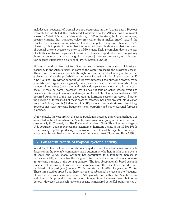multidecadal frequency of tropical cyclone occurrence in the Atlantic basin. Previous research has attributed this multidecadal oscillation in the Atlantic basin to rainfall across the Sahel of Africa (Landsea and Gray 1992) or the strength of the slow-moving oceanic currents that transport colder freshwater (from melted snow) toward the equator and warmer ocean saltwater toward the poles (Gray and Sheaffer 1997). However, it is important to note that the period of record is short and that the record of tropical cyclone occurrence prior to 1960 is quite likely incomplete due to the lack of satellites to observe tropical cyclones at sea. It is also important to note that globally there has been no dramatic change in net (global) hurricane frequency over the past few decades (Henderson-Sellers et al. 1998; Emanuel 2005).

Pioneering work by Prof. William Gray has lead to seasonal forecasting of hurricane frequency in the Atlantic basin as early as the winter preceding the hurricane season. These forecasts are made possible through an increased understanding of the factors globally that affect the probability of hurricane formation in the Atlantic, such as El Niño/La Niña. By winter or spring of the year preceding the hurricane season, many scientists and organizations globally now produce their individual forecasts of the number of hurricanes (both major and total) and tropical storms overall to form in each basin. It must be noted, however, that it does not take an active season overall to produce a catastrophic amount of damage and loss of life. Hurricane Andrew (1992) occurred during one of the least active Atlantic hurricane seasons on record. Further, the question of forecast skill of these seasonal forecasts has been brought into question since preliminary results (Holland et al. 2006) showed that a short-term climatology (previous five year hurricane frequency mean) outperformed many seasonal forecasts examined.

Unfortunately, the vast growth of coastal population occurred during (and perhaps was associated with) a time when the Atlantic basin was undergoing a minimum of hurricane activity (1970s-early 1990s) (Pielke and Landsea 1998). Thus, the percentage of U.S. population that experienced the maximum of hurricane activity in the 1930s-1960s is decreasing rapidly, producing a population that at least by age has not experienced what history had to offer in terms of hurricane threat (Elsner and Kara 1999).

# **5. Long-term trends of tropical cyclone activity**

In addition to the multidecadal trends previously discussed, there has been considerable discussion in the scientific community lately questioning whether, in light of the events of 2004 and 2005, global warming has contributed to a long-term increase in hurricane activity and whether this long term trend would lead to a dramatic increase in hurricane intensity in the coming century. The first observationally-based scientific evidence of increasing hurricane destructiveness over the past three decades was published in the past year (Emanuel 2005; Webster et al. 2005; Hoyos et al. 2006). These three studies argued that there has been a substantial increase in the frequency of intense hurricane existence since 1970 (globally and within the Atlantic basin) and that it is primarily due to ocean temperature increases over that same period. However, when such hurricane activity is measured at landfall points only (J.J.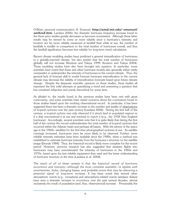O'Brien, personal communication; K. Emanuel, *http://wind.mit.edu/~emanuel/ anthro2.htm*; Landsea 2006), the dramatic hurricane frequency increase found in the three prior studies greatly decreases or becomes nonexistent. Although these latter results may be viewed by some as more reliable since a hurricane's intensity and location are far more reliably measured at landfall than while at sea, the number of landfalls is smaller in comparison to the total number of hurricanes overall, and thus the landfall significance becomes less reliable for long-term trend calculations.

Recent climate modeling studies have predicted a general intensification of hurricanes in a globally-warmed climate, but also predict that the total number of hurricanes globally will not increase (Knutson and Tuleya 1999; Knutson and Tuleya 2004). These modeling studies have also been brought into question. In particular, some scientists have noted that these and other hurricane models also generally either vastly overpredict or underpredict the intensity of hurricanes in the current climate. Thus, the general lack of forecast skill in model forecast hurricane intensification in the current climate may decrease the validity of intensification forecasts based upon future climate change. Despite the disparate scientific opinions on these studies, these studies all represent the first solid attempts at quantifying a trend and answering a question that has remained subjective and purely theoretical for some time.

As alluded to, the results found in the previous studies have been met with great controversy, and some scientists have raised concerns about the conclusions found in those studies based upon the evolving observational record. In particular, it has been suggested there has been a dramatic increase in the number and quality of observations of tropical cyclones over the past century (Landsea 2006). During the first half of the century, a tropical cyclone was only observed if it struck land in populated regions or if a ship encountered it at sea and survived to report it (e.g., the 1938 New England hurricane). Accordingly, several scientists note that it is quite likely that during the first half of the century the record underestimates the total number of tropical cyclones that occurred within the Atlantic basin and perhaps all basins. With the advent of the space age in the 1960s, satellites for the first time photographed cyclones at sea. As satellite coverage increased, hurricanes were far more likely to be observed. Further, more reliable intensity estimates have been available since the 1980s, when a method was established to estimate hurricane intensity from the hurricane's structure on the satellite image (Dvorak 1984). Thus, the historical record is likely more complete for the recent period. However, previous research has also suggested that airplane flights into hurricanes may have overestimated the intensity of hurricanes in the 1960s and 1970s, based upon the less reliable equipment then used and the lesser understanding of hurricane structure at the time (Landsea et al. 2004).

*The result of all of these caveats is that the historical record of hurricane occurrence and intensity—although the most complete available—is replete with uncertainties, holes, changing biases, and probable errors that may be obscuring a potential signal of long-term increase.* It has been noted that several other atmospheric events (e.g., tornadoes) and atmospheric-related events (airplane delays) have seen a dramatic increase in occurrence over the past several decades, almost exclusively the result of population (and, thus, observational) increase. Presumably the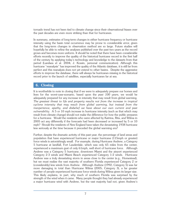tornado trend has not been tied to climate change since their observational biases over the past decades are even more striking than that for hurricanes.

In summary, estimates of long-term changes in either hurricane frequency or hurricane intensity using the basin total occurrence may be prone to considerable error, given that the long-term changes in observation method are so large. Future studies will hopefully be able to refine the analyses published over the past two years as the record grows and becomes more uniform. It should be noted that there have been considerable efforts recently to improve the quality of the historical hurricane record in the first half of the century by applying today's technology and knowledge to the datasets from that period (Landsea et al. 2004; J. Kossin, personal communication). Although this hurricane "reanalysis" has improved the quality of the Atlantic database, it is still far from perfect and this reanalysis does not yet extend to other basins. Despite the aggressive efforts to improve the database, there will always be hurricanes missing in the historical record prior to the launch of satellites, especially hurricanes far at sea.

# **6. Closing**

It is worthwhile to note in closing that if we were to adequately prepare our homes and lives for the worst-case-scenario, based upon the *past 100 years*, we would be adequately prepared for any increase in intensity that may result from global warming. *The greatest threat to life and property results not from the increase in tropical cyclone intensity that may result from global warming, but instead from the inexperience, apathy, and disbelief we have about our own current and past vulnerability.* A 5 or 10 mph increase in hurricane intensity (such as that which may result from climate change) should not make the difference for how the public prepares for a hurricane. Would the residents who were affected by Katrina, Rita, and Wilma in 2005 act any differently if the forecasts had been decreased or increased by 5 or 10 mph? Should the residents of New England have taken the devastating 1938 hurricane less seriously at the time because it preceded the global warming era?

Further, despite the dramatic activity of this past year, the percentage of land areas and population that have experienced hurricane or major hurricane (115mph or greater) force winds is astonishingly small. For example, during Hurricane Andrew, a Category 5 hurricane at landfall, Fort Lauderdale, which was only 65 miles from the center, experienced a maximum gust of only 61mph, well short of hurricane force. Although Andrew was a Category 5 hurricane, downtown Miami and the airport experienced Category 2-3 winds and Miami Beach experienced Category 1-2 winds. Hurricane Andrew was a truly devastating storm in areas close to the center (e.g., Homestead), but we must realize the vast majority of southern Florida experienced Category 2 or (considerably) less winds from Andrew. Although Andrew (1992; Category 5) was far more damaging in total than Hurricane Wilma (2005; Category 3), a far greater number of people experienced hurricane force winds during Wilma given its larger size. This likely explains, in part, why much of southern Florida was surprised by the strength of the wind when it came. Many people thought they had already experienced a major hurricane wind with Andrew, but the vast majority had not, given Andrew's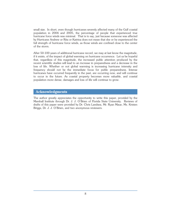small size. In short, even though hurricanes severely affected many of the Gulf coastal population in 2004 and 2005, the percentage of people that experienced true hurricane force winds was minimal. That is to say, just because someone was affected by Hurricane Andrew or Rita or Katrina does not mean that she or he experienced the full strength of hurricane force winds, as those winds are confined close to the center of the storm.

After 50-100 years of additional hurricane record, we may at last know the magnitude, if it exists, of the impact of global warming on hurricane occurrence. Let us be hopeful that, regardless of this magnitude, the increased public attention produced by the recent scientific studies will lead to an increase in preparedness and a decrease in the loss of life. Whether or not global warming is increasing hurricane intensity and frequency should not be the immediate focus for public preparedness. Intense hurricanes have occurred frequently in the past, are occurring now, and will continue to occur in the future. As coastal property becomes more valuable, and coastal population more dense, damages and loss of life will continue to grow.

# **Acknowledgments**

The author greatly appreciates the opportunity to write this paper, provided by the Marshall Institute through Dr. J. J. O'Brien of Florida State University. Reviews of drafts of this paper were provided by Dr. Chris Landsea, Mr. Ryan Maue, Ms. Kristen Briggs, Dr. J. J. O'Brien, and two anonymous reviewers.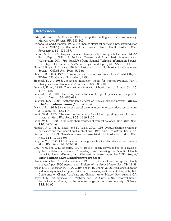#### **References**

- Bister, M., and K. A. Emanuel, 1998: Dissipative heating and hurricane intensity*. Meteor. Atm. Physics*, **55**, 233-240.
- DeMaria, M. and J. Kaplan, 1999: An updated statistical hurricane intensity prediction scheme (SHIPS) for the Atlantic and eastern North Pacific basins. *Wea. Forecasting*, **14**, 326-337.
- Dvorak, V. F., 1984: Tropical cyclone intensity analysis using satellite data. NOAA Tech. Rep. NESDIS 11, National Oceanic and Atmospheric Administration, Washington, DC, 47pp. [Available from National Technical Information Service, U.S. Dept. of Commerce, 5285 Port Royal Road, Springfield, VA 22161.]
- Elsner, J.B. and A.B. Kara, 1999: "Hurricanes of the North Atlantic: Climate and Society", Oxford Univ. Press, 512 pp.
- Elsberry, R.L. (Ed), 1995: "Global perspectives on tropical cyclones", WMO Report TD-No. 693, Geneva, Switzerland, 289 pp.
- Emanuel, K. A., 1986: An air-sea interaction theory for tropical cyclones. Part I: Steady state maintenance. *J. Atmos. Sci*. **43**, 585-604.
- Emanuel, K. A., 1988: The maximum intensity of hurricanes*. J. Atmos. Sci.* **45**, 1143-1155.
- Emanuel, K. A., 2005: Increasing destructiveness of tropical cyclones over the past 30 years. *Nature*, **436**, 686-688.
- Emanuel, K.A., 2005: Anthropogenic effects on tropical cyclone activity. *http:// wind.mit.edu/~emanuel/antro2.html*
- Evans, J. L., 1993: Sensitivity of tropical cyclone intensity to sea surface temperature. *J. Climate*, **6**, 1133-1140.
- Frank, W.M., 1977: The structure and energetics of the tropical cyclone. I. Storm structure. *Mon. Wea Rev*., **105**, 1119-1135.
- Frank, W. M., 1982: Large-scale characteristics of tropical cyclones. *Mon. Wea. Rev.*, **110**, 572-586.
- Franklin, J. L., M. L. Black, and K. Valde, 2003: GPS Dropwindsonde profiles in hurricanes and their operational implications. *Wea. and Forecasting*, **18,** 32-44.
- Gentry, R. C., 1983: Genesis of tornadoes associated with hurricanes. *Mon. Wea. Rev*., **111**, 1793-1805.
- Gray, W.M., 1968: Global view of the origin of tropical disturbances and storms. *Mon. Wea. Rev*., **96**, 669-700.
- Gray, W.M. and J. D. Sheaffer, 1997: Role of ocean conveyor belt as a cause of global multidecadal climate. Proceedings from meeting on Atlantic Climate Variability. Lamont-Doherty Earth Observatory, 24-26 September 1997. *http:// www.aoml.noaa.gov/phod/acvp/cover.htm*
- Henderson-Sellers, A., and coauthors: 1998: Tropical cyclones and global climate change: A post-IPCC Assessment. *Bulletin of the Amer. Meteor. Soc*., **79**, 19-38.
- Holland, G. J., Webster, P.J., J.A. Curry, and H.-R. Chang, 2006: Frequency, duration and intensity of tropical cyclonic storms in a warming environment. Preprints, 18th Conference on Climate Variability and Change. Amer. Meteor. Soc., Atlanta, GA.
- Hoyos, C.D., P.A. Agudelo, P. J. Webster, and J. A. Curry, 2006: Deconvolution of the factors contributing to the increase in global hurricane intensity. *Science*, **312**, 94-97.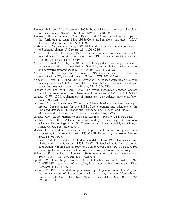- Jarvinen, B.R. and C. J. Neumann, 1979: Statistical forecasts of tropical cyclone intensity change. NOAA Tech. Memo. NWS NHC-10, 22 pp.
- Jarvinen, B.R., C.J. Neumann, M.A.S. Davis, 1984: "A tropical cyclone data tape for the North Atlantic basin, 1886-1983: Contents, limitations, and uses", *NOAA Technical Memorandum NWS NHC 22*.
- Krishnamurti, T.N., and coauthors, 2000: Multimodel ensemble forecasts for weather and seasonal climate. *J. Climate*, **13**, 4196-4216.
- Knutson, T.R. and R.E. Tuleya, 1999: Increased hurricane intensities with CO2 induced warming as simulated using the GFDL hurricane prediction system. *Climate Dynamics*, **15**, 503-519.
- Knutson, T.R. and R. E Tuleya, 2004: Impact of  $CO_2$ -induced warming on simulated hurricane intensity and precipitation. Sensitivity to the choice of climate model and convective parameterization. *J. Climate*, **17**, 3477-3495.
- Knutson, T.R., R. E. Tuleya, and Y. Kurihara, 1998: Simulated increase in hurricane intensities in a CO<sub>2</sub> warmed climate. *Science*, **279**, 1018-1020.
- Knutson, T.R. and R. E. Tuleya, 2004: Impact of  $CO_2$ -induced warming on hurricane Intensity and precipitation: Sensitivity to the choice of climate model and convective parameterization. *J. Climate*, **17**, 3477-3495.
- Landsea C.W. and W.M. Gray, 1992: The strong association between western Sahelian Monsoon rainfall and intense Atlantic hurricanes. *J. Climate*, **5**, 435-453.
- Landsea, C. W., 1993: A climatology of intense (or major) Atlantic hurricanes. *Mon. Wea. Rev*., **121**, 1703-1713.
- Landsea, C.W., and coauthors, 2004: The Atlantic hurricane database re-analysis project: Documentation for the 1851-1910 alterations and additions to the HURDAT database. Hurricanes and Typhoons: Past, Present and Future. R. J. Murnane and K.-B. Liu, Eds, Columbia University Press, 177-221.
- Landsea, C.W. 2005: Hurricanes and global warming. *Nature*, **438**, 611-612.
- Landsea, C.W., 2006: Atlantic hurricanes and global warming: Observational evidence. Proceedings of the 18th Conference on Climate Variability and Change. Amer. Meteor. Soc., Atlanta, GA.
- McAdie, C.J. and M.B. Lawrence, 2000: Improvements in tropical cyclone track forecasting in the Atlantic Basin, 1970-1998. *Bulletin of the Amer. Meteor. Soc*., **81**, 989-997.
- Neumann, C. J., B. R. Jarvinen, C. J. McAdie and J. D. Elms, 1993: Tropical cyclones of the North Atlantic Ocean, 1871—1992}, National Climatic Data Center in cooperation with the National Hurricane Center, Coral Gables, FL, 193 pp. (NHC homepage for most recent track information: <*http://www.nhc.noaa.gov*>.
- Pielke, Jr., R. A. and C. W. Landsea, 1998: Normalized U.S. hurricane damage, 1925-1995. *Wea. Forecasting*, **13**, 621-631.
- Spratt, S. M., D. W. Sharp, P. Welsh, A. Sandrik, F. Alsheimer, and C. Paxton, 1997: A WSR-88D Assessment of tropical cyclone outer rainband tornadoes. *Wea. Forecasting*, **12**, 479-501.
- Velden, C.S., 1993: The relationship between tropical cyclone motion, intensity, and the vertical extent of the environmental steering layer in the Atlantic basin. Preprints, 20th Conf. Hurr. Trop. Meteor. Amer. Meteor. Soc., Boston, MA 02108, 31-34.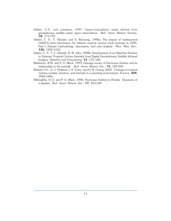- Velden, C.S., and coauthors, 1997: Upper-tropospheric winds derived from geostationary satellite water vapor observations. *Bull. Amer. Meteor. Society*, **78**, 173-195.
- Velden, C. S., T. Olander, and S. Wanzong, 1998a: The impact of multispectral GOES-8 wind information On Atlantic tropical cyclone track forecasts in 1995. Part I: Dataset methodology, description, and case analysis. *Mon. Wea. Rev*., **126**, 1202-1218.
- Velden, C. S., T. L. Olander, R. M. Zehr, 1998b: Development of an Objective Scheme to Estimate Tropical Cyclone Intensity from Digital Geostationary Satellite Infrared Imagery. *Weather and Forecasting,* **13**, 172–186.
- Wakimoto, R.M. and P. G. Black, 1993: Damage survey of Hurricane Andrew and its relationship to the eyewall. *Bull. Amer. Meteor. Soc*., **75**, 189-200.
- Webster, P.J., G. J. Holland, J. A. Curry, and H.-R. Chang, 2005: Changes in tropical cyclone number, duration, and intensity in a warming environment, *Science*, **309**, 1844-1846.
- Willoughby, H. E. and P. G. Black, 1996: Hurricane Andrew in Florida: Dynamics of a disaster. *Bull. Amer. Meteor. Soc*., **77**, 543-549.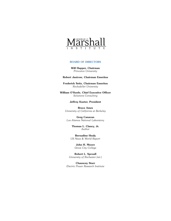

#### **BOARD OF DIRECTORS**

**Will Happer, Chairman** *Princeton University*

#### **Robert Jastrow, Chairman Emeritus**

**Frederick Seitz, Chairman Emeritus** *Rockefeller University*

**William O'Keefe, Chief Executive Officer** *Solutions Consulting*

#### **Jeffrey Kueter, President**

**Bruce Ames** *University of California at Berkeley*

**Greg Canavan** *Los Alamos National Laboratory*

> **Thomas L. Clancy, Jr.** *Author*

**Bernadine Healy** *US News & World Report*

> **John H. Moore** *Grove City College*

**Robert L. Sproull** *University of Rochester (ret.)*

**Chauncey Starr** *Electric Power Research Institute*